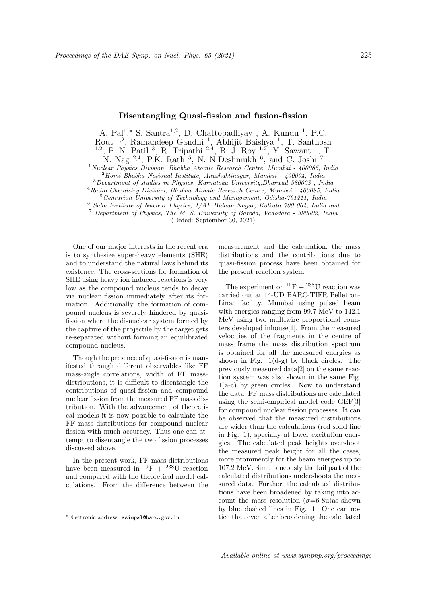A. Pal<sup>1</sup>,\* S. Santra<sup>1,2</sup>, D. Chattopadhyay<sup>1</sup>, A. Kundu<sup>1</sup>, P.C. Rout <sup>1,2</sup>, Ramandeep Gandhi<sup>1</sup>, Abhijit Baishya<sup>1</sup>, T. Santhosh<br><sup>1,2</sup>, P. N. Patil<sup>3</sup>, R. Tripathi<sup>2,4</sup>, B. J. Roy<sup>1,2</sup>, Y. Sawant<sup>1</sup>, T. N. Nag <sup>2,4</sup>, P.K. Rath <sup>5</sup>, N. N. Deshmukh <sup>6</sup>, and C. Joshi <sup>7</sup>

<sup>1</sup>*Nuclear Physics Division, Bhabha Atomic Research Centre, Mumbai - 400085, India*

<sup>2</sup>*Homi Bhabha National Institute, Anushaktinagar, Mumbai - 400094, India*

<sup>3</sup>*Department of studies in Physics, Karnataka University,Dharwad 580003 , India*

<sup>4</sup>*Radio Chemistry Division, Bhabha Atomic Research Centre, Mumbai - 400085, India* <sup>5</sup>*Centurion University of Technology and Management, Odisha-761211, India*

<sup>6</sup> *Saha Institute of Nuclear Physics, 1/AF Bidhan Nagar, Kolkata 700 064, India and*

<sup>7</sup> *Department of Physics, The M. S. University of Baroda, Vadodara - 390002, India*

(Dated: September 30, 2021)

One of our major interests in the recent era is to synthesize super-heavy elements (SHE) and to understand the natural laws behind its existence. The cross-sections for formation of SHE using heavy ion induced reactions is very low as the compound nucleus tends to decay via nuclear fission immediately after its formation. Additionally, the formation of compound nucleus is severely hindered by quasifission where the di-nuclear system formed by the capture of the projectile by the target gets re-separated without forming an equilibrated compound nucleus.

Though the presence of quasi-fission is manifested through different observables like FF mass-angle correlations, width of FF massdistributions, it is difficult to disentangle the contributions of quasi-fission and compound nuclear fission from the measured FF mass distribution. With the advancement of theoretical models it is now possible to calculate the FF mass distributions for compound nuclear fission with much accuracy. Thus one can attempt to disentangle the two fission processes discussed above.

In the present work, FF mass-distributions have been measured in  $^{19}F + {}^{238}U$  reaction and compared with the theoretical model calculations. From the difference between the measurement and the calculation, the mass distributions and the contributions due to quasi-fission process have been obtained for the present reaction system.

The experiment on  $^{19}{\rm F}$  +  $^{238}{\rm U}$  reaction was carried out at 14-UD BARC-TIFR Pelletron-Linac facility, Mumbai using pulsed beam with energies ranging from 99.7 MeV to 142.1 MeV using two multiwire proportional counters developed inhouse[1]. From the measured velocities of the fragments in the centre of mass frame the mass distribution spectrum is obtained for all the measured energies as shown in Fig.  $1(d-g)$  by black circles. The previously measured data[2] on the same reaction system was also shown in the same Fig. 1(a-c) by green circles. Now to understand the data, FF mass distributions are calculated using the semi-empirical model code GEF[3] for compound nuclear fission processes. It can be observed that the measured distributions are wider than the calculations (red solid line in Fig. 1), specially at lower excitation energies. The calculated peak heights overshoot the measured peak height for all the cases, more prominently for the beam energies up to 107.2 MeV. Simultaneously the tail part of the calculated distributions undershoots the measured data. Further, the calculated distributions have been broadened by taking into account the mass resolution  $(\sigma=6-8u)$ as shown by blue dashed lines in Fig. 1. One can notice that even after broadening the calculated

*<sup>∗</sup>*Electronic address: asimpal@barc.gov.in